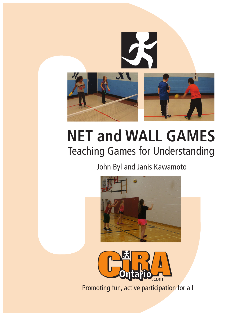

### **NET and WALL GAMES** Teaching Games for Understanding

### John Byl and Janis Kawamoto





Promoting fun, active participation for all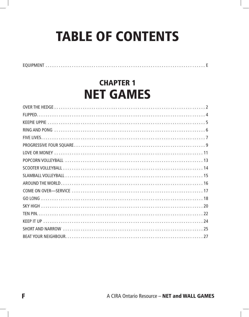# **TABLE OF CONTENTS**

### **CHAPTER 1** Net Games

EQUIPMENT. . . E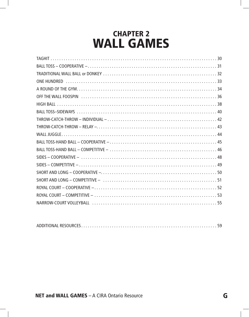### **CHAPTER 2** WALL Games

|--|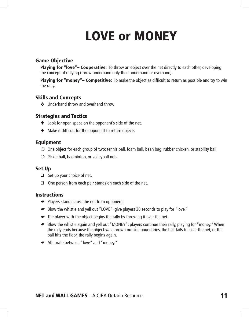## Love or Money

#### Game Objective

**Playing for "love"– Cooperative:** To throw an object over the net directly to each other, developing the concept of rallying (throw underhand only then underhand or overhand).

Playing for "money"- Competitive: To make the object as difficult to return as possible and try to win the rally.

#### Skills and Concepts

✜ Underhand throw and overhand throw

#### Strategies and Tactics

- $\text{■}$  Look for open space on the opponent's side of the net.
- $\text{■}$  Make it difficult for the opponent to return objects.

#### Equipment

- $\bigcirc$  One object for each group of two: tennis ball, foam ball, bean bag, rubber chicken, or stability ball
- $\bigcirc$  Pickle ball, badminton, or volleyball nets

#### Set Up

- $\Box$  Set up your choice of net.
- ❑ One person from each pair stands on each side of the net.

#### **Instructions**

- ☛ Players stand across the net from opponent.
- ☛ Blow the whistle and yell out "LOVE": give players 30 seconds to play for "love."
- ☛ The player with the object begins the rally by throwing it over the net.
- ☛ Blow the whistle again and yell out "MONEY": players continue their rally, playing for "money." When the rally ends because the object was thrown outside boundaries, the ball fails to clear the net, or the ball hits the floor, the rally begins again.
- ☛ Alternate between "love" and "money."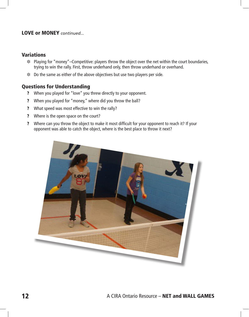#### LOVE or MONEY *continued...*

#### **Variations**

- ❉ Playing for "money"–Competitive: players throw the object over the net within the court boundaries, trying to win the rally. First, throw underhand only, then throw underhand or overhand.
- ❉ Do the same as either of the above objectives but use two players per side.

#### Questions for Understanding

- ? When you played for "love" you threw directly to your opponent.
- ? When you played for "money," where did you throw the ball?
- ? What speed was most effective to win the rally?
- ? Where is the open space on the court?
- ? Where can you throw the object to make it most difficult for your opponent to reach it? If your opponent was able to catch the object, where is the best place to throw it next?

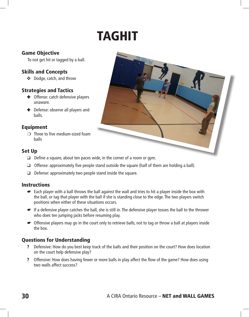## **TAGHIT**

#### Game Objective

To not get hit or tagged by a ball.

#### Skills and Concepts

✜ Dodge, catch, and throw

#### Strategies and Tactics

- ✚ Offense: catch defensive players unaware.
- $\bullet$  Defense: observe all players and balls.

#### Equipment

 $\bigcirc$  Three to five medium-sized foam balls

#### Set Up

- ❑ Define a square, about ten paces wide, in the corner of a room or gym.
- ❑ Offense: approximately five people stand outside the square (half of them are holding a ball).
- $\Box$  Defense: approximately two people stand inside the square.

#### **Instructions**

- ☛ Each player with a ball throws the ball against the wall and tries to hit a player inside the box with the ball, or tag that player with the ball if she is standing close to the edge. The two players switch positions when either of these situations occurs.
- ☛ If a defensive player catches the ball, she is still in. The defensive player tosses the ball to the thrower who does ten jumping jacks before resuming play.
- ☛ Offensive players may go in the court only to retrieve balls, not to tag or throw a ball at players inside the box.

#### Questions for Understanding

- ? Defensive: How do you best keep track of the balls and their position on the court? How does location on the court help defensive play?
- ? Offensive: How does having fewer or more balls in play affect the flow of the game? How does using two walls affect success?